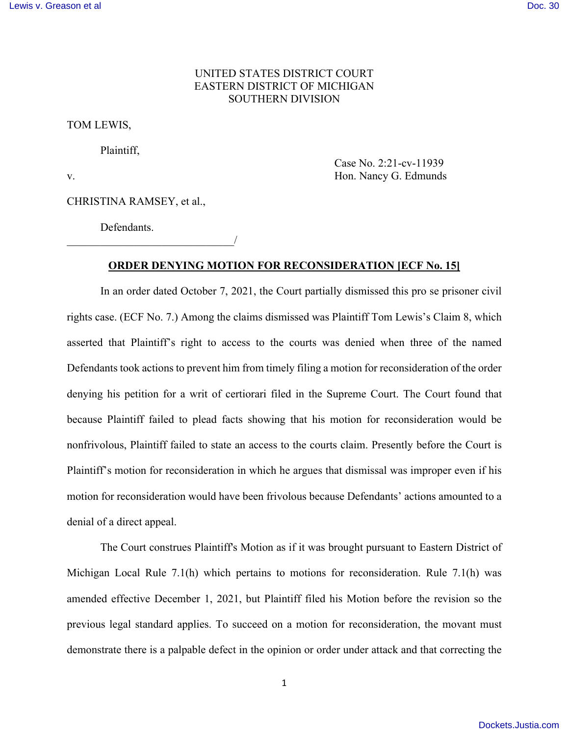## UNITED STATES DISTRICT COURT EASTERN DISTRICT OF MICHIGAN SOUTHERN DIVISION

TOM LEWIS,

Plaintiff,

 Case No. 2:21-cv-11939 v. Hon. Nancy G. Edmunds

CHRISTINA RAMSEY, et al.,

\_\_\_\_\_\_\_\_\_\_\_\_\_\_\_\_\_\_\_\_\_\_\_\_\_\_\_\_\_\_/

Defendants.

## **ORDER DENYING MOTION FOR RECONSIDERATION [ECF No. 15]**

 In an order dated October 7, 2021, the Court partially dismissed this pro se prisoner civil rights case. (ECF No. 7.) Among the claims dismissed was Plaintiff Tom Lewis's Claim 8, which asserted that Plaintiff's right to access to the courts was denied when three of the named Defendants took actions to prevent him from timely filing a motion for reconsideration of the order denying his petition for a writ of certiorari filed in the Supreme Court. The Court found that because Plaintiff failed to plead facts showing that his motion for reconsideration would be nonfrivolous, Plaintiff failed to state an access to the courts claim. Presently before the Court is Plaintiff's motion for reconsideration in which he argues that dismissal was improper even if his motion for reconsideration would have been frivolous because Defendants' actions amounted to a denial of a direct appeal.

 The Court construes Plaintiff's Motion as if it was brought pursuant to Eastern District of Michigan Local Rule 7.1(h) which pertains to motions for reconsideration. Rule 7.1(h) was amended effective December 1, 2021, but Plaintiff filed his Motion before the revision so the previous legal standard applies. To succeed on a motion for reconsideration, the movant must demonstrate there is a palpable defect in the opinion or order under attack and that correcting the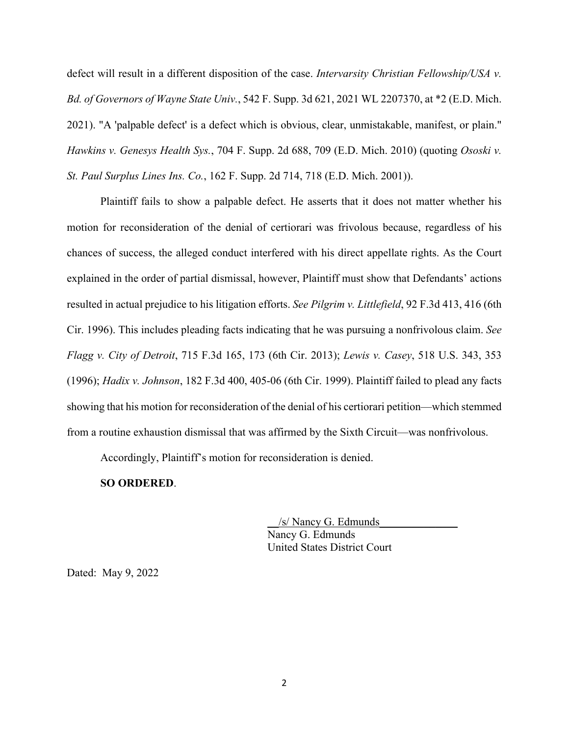defect will result in a different disposition of the case. *Intervarsity Christian Fellowship/USA v. Bd. of Governors of Wayne State Univ.*, 542 F. Supp. 3d 621, 2021 WL 2207370, at \*2 (E.D. Mich. 2021). "A 'palpable defect' is a defect which is obvious, clear, unmistakable, manifest, or plain." *Hawkins v. Genesys Health Sys.*, 704 F. Supp. 2d 688, 709 (E.D. Mich. 2010) (quoting *Ososki v. St. Paul Surplus Lines Ins. Co.*, 162 F. Supp. 2d 714, 718 (E.D. Mich. 2001)).

Plaintiff fails to show a palpable defect. He asserts that it does not matter whether his motion for reconsideration of the denial of certiorari was frivolous because, regardless of his chances of success, the alleged conduct interfered with his direct appellate rights. As the Court explained in the order of partial dismissal, however, Plaintiff must show that Defendants' actions resulted in actual prejudice to his litigation efforts. *See Pilgrim v. Littlefield*, 92 F.3d 413, 416 (6th Cir. 1996). This includes pleading facts indicating that he was pursuing a nonfrivolous claim. *See Flagg v. City of Detroit*, 715 F.3d 165, 173 (6th Cir. 2013); *Lewis v. Casey*, 518 U.S. 343, 353 (1996); *Hadix v. Johnson*, 182 F.3d 400, 405-06 (6th Cir. 1999). Plaintiff failed to plead any facts showing that his motion for reconsideration of the denial of his certiorari petition—which stemmed from a routine exhaustion dismissal that was affirmed by the Sixth Circuit—was nonfrivolous.

Accordingly, Plaintiff's motion for reconsideration is denied.

## **SO ORDERED**.

\_\_/s/ Nancy G. Edmunds\_\_\_\_\_\_\_\_\_\_\_\_\_\_ Nancy G. Edmunds United States District Court

Dated: May 9, 2022